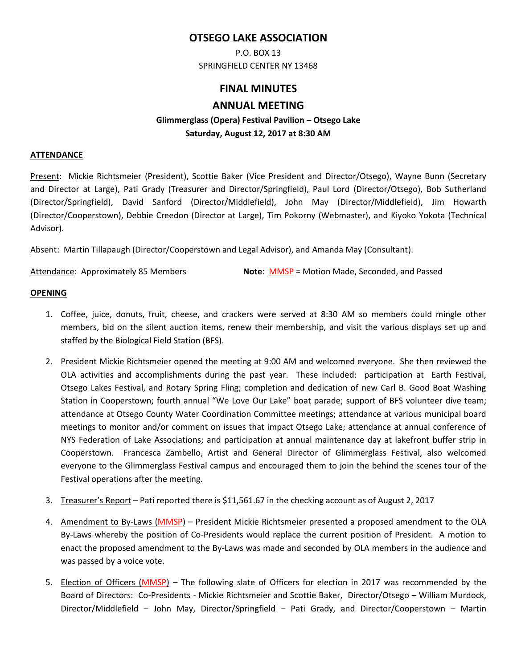# **OTSEGO LAKE ASSOCIATION**

P.O. BOX 13 SPRINGFIELD CENTER NY 13468

# **FINAL MINUTES**

## **ANNUAL MEETING**

# **Glimmerglass (Opera) Festival Pavilion – Otsego Lake Saturday, August 12, 2017 at 8:30 AM**

#### **ATTENDANCE**

Present: Mickie Richtsmeier (President), Scottie Baker (Vice President and Director/Otsego), Wayne Bunn (Secretary and Director at Large), Pati Grady (Treasurer and Director/Springfield), Paul Lord (Director/Otsego), Bob Sutherland (Director/Springfield), David Sanford (Director/Middlefield), John May (Director/Middlefield), Jim Howarth (Director/Cooperstown), Debbie Creedon (Director at Large), Tim Pokorny (Webmaster), and Kiyoko Yokota (Technical Advisor).

Absent: Martin Tillapaugh (Director/Cooperstown and Legal Advisor), and Amanda May (Consultant).

Attendance: Approximately 85 Members **Note**: MMSP = Motion Made, Seconded, and Passed

#### **OPENING**

- 1. Coffee, juice, donuts, fruit, cheese, and crackers were served at 8:30 AM so members could mingle other members, bid on the silent auction items, renew their membership, and visit the various displays set up and staffed by the Biological Field Station (BFS).
- 2. President Mickie Richtsmeier opened the meeting at 9:00 AM and welcomed everyone. She then reviewed the OLA activities and accomplishments during the past year. These included: participation at Earth Festival, Otsego Lakes Festival, and Rotary Spring Fling; completion and dedication of new Carl B. Good Boat Washing Station in Cooperstown; fourth annual "We Love Our Lake" boat parade; support of BFS volunteer dive team; attendance at Otsego County Water Coordination Committee meetings; attendance at various municipal board meetings to monitor and/or comment on issues that impact Otsego Lake; attendance at annual conference of NYS Federation of Lake Associations; and participation at annual maintenance day at lakefront buffer strip in Cooperstown. Francesca Zambello, Artist and General Director of Glimmerglass Festival, also welcomed everyone to the Glimmerglass Festival campus and encouraged them to join the behind the scenes tour of the Festival operations after the meeting.
- 3. Treasurer's Report Pati reported there is \$11,561.67 in the checking account as of August 2, 2017
- 4. Amendment to By-Laws (MMSP) President Mickie Richtsmeier presented a proposed amendment to the OLA By-Laws whereby the position of Co-Presidents would replace the current position of President. A motion to enact the proposed amendment to the By-Laws was made and seconded by OLA members in the audience and was passed by a voice vote.
- 5. Election of Officers (MMSP) The following slate of Officers for election in 2017 was recommended by the Board of Directors: Co-Presidents - Mickie Richtsmeier and Scottie Baker, Director/Otsego – William Murdock, Director/Middlefield – John May, Director/Springfield – Pati Grady, and Director/Cooperstown – Martin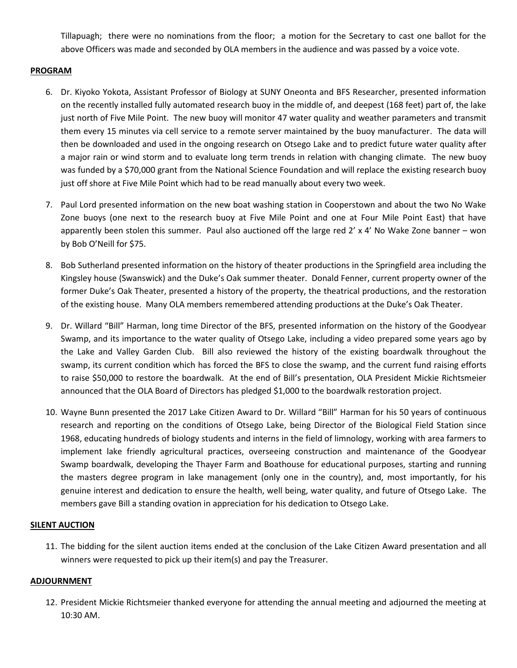Tillapuagh; there were no nominations from the floor; a motion for the Secretary to cast one ballot for the above Officers was made and seconded by OLA members in the audience and was passed by a voice vote.

### **PROGRAM**

- 6. Dr. Kiyoko Yokota, Assistant Professor of Biology at SUNY Oneonta and BFS Researcher, presented information on the recently installed fully automated research buoy in the middle of, and deepest (168 feet) part of, the lake just north of Five Mile Point. The new buoy will monitor 47 water quality and weather parameters and transmit them every 15 minutes via cell service to a remote server maintained by the buoy manufacturer. The data will then be downloaded and used in the ongoing research on Otsego Lake and to predict future water quality after a major rain or wind storm and to evaluate long term trends in relation with changing climate. The new buoy was funded by a \$70,000 grant from the National Science Foundation and will replace the existing research buoy just off shore at Five Mile Point which had to be read manually about every two week.
- 7. Paul Lord presented information on the new boat washing station in Cooperstown and about the two No Wake Zone buoys (one next to the research buoy at Five Mile Point and one at Four Mile Point East) that have apparently been stolen this summer. Paul also auctioned off the large red  $2' \times 4'$  No Wake Zone banner – won by Bob O'Neill for \$75.
- 8. Bob Sutherland presented information on the history of theater productions in the Springfield area including the Kingsley house (Swanswick) and the Duke's Oak summer theater. Donald Fenner, current property owner of the former Duke's Oak Theater, presented a history of the property, the theatrical productions, and the restoration of the existing house. Many OLA members remembered attending productions at the Duke's Oak Theater.
- 9. Dr. Willard "Bill" Harman, long time Director of the BFS, presented information on the history of the Goodyear Swamp, and its importance to the water quality of Otsego Lake, including a video prepared some years ago by the Lake and Valley Garden Club. Bill also reviewed the history of the existing boardwalk throughout the swamp, its current condition which has forced the BFS to close the swamp, and the current fund raising efforts to raise \$50,000 to restore the boardwalk. At the end of Bill's presentation, OLA President Mickie Richtsmeier announced that the OLA Board of Directors has pledged \$1,000 to the boardwalk restoration project.
- 10. Wayne Bunn presented the 2017 Lake Citizen Award to Dr. Willard "Bill" Harman for his 50 years of continuous research and reporting on the conditions of Otsego Lake, being Director of the Biological Field Station since 1968, educating hundreds of biology students and interns in the field of limnology, working with area farmers to implement lake friendly agricultural practices, overseeing construction and maintenance of the Goodyear Swamp boardwalk, developing the Thayer Farm and Boathouse for educational purposes, starting and running the masters degree program in lake management (only one in the country), and, most importantly, for his genuine interest and dedication to ensure the health, well being, water quality, and future of Otsego Lake. The members gave Bill a standing ovation in appreciation for his dedication to Otsego Lake.

## **SILENT AUCTION**

11. The bidding for the silent auction items ended at the conclusion of the Lake Citizen Award presentation and all winners were requested to pick up their item(s) and pay the Treasurer.

### **ADJOURNMENT**

12. President Mickie Richtsmeier thanked everyone for attending the annual meeting and adjourned the meeting at 10:30 AM.